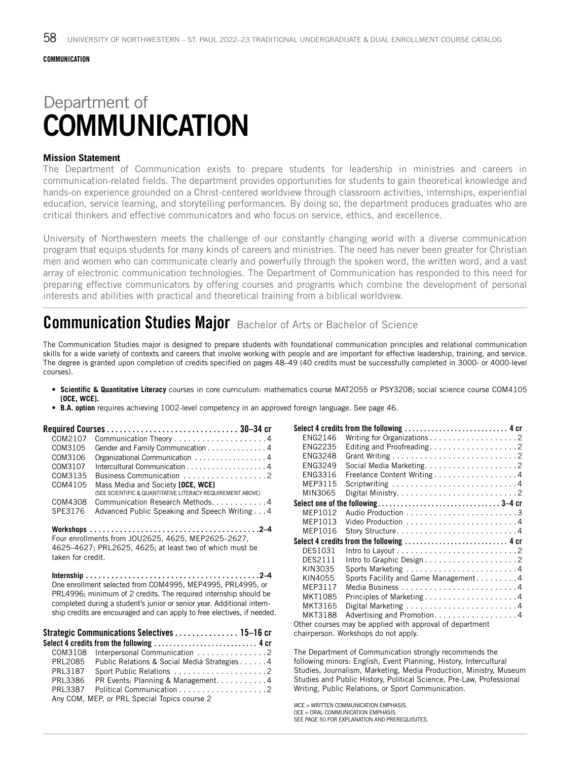# Department of **COMMUNICATION**

### **Mission Statement**

The Department of Communication exists to prepare students for leadership in ministries and careers in communication-related fields. The department provides opportunities for students to gain theoretical knowledge and hands-on experience grounded on a Christ-centered worldview through classroom activities, internships, experiential education, service learning, and storytelling performances. By doing so, the department produces graduates who are critical thinkers and effective communicators and who focus on service, ethics, and excellence.

University of Northwestern meets the challenge of our constantly changing world with a diverse communication program that equips students for many kinds of careers and ministries. The need has never been greater for Christian men and women who can communicate clearly and powerfully through the spoken word, the written word, and a vast array of electronic communication technologies. The Department of Communication has responded to this need for preparing effective communicators by offering courses and programs which combine the development of personal interests and abilities with practical and theoretical training from a biblical worldview.

# **Communication Studies Major** Bachelor of Arts or Bachelor of Science

The Communication Studies major is designed to prepare students with foundational communication principles and relational communication skills for a wide variety of contexts and careers that involve working with people and are important for effective leadership, training, and service. The degree is granted upon completion of credits specified on pages 48–49 (40 credits must be successfully completed in 3000- or 4000-level courses).

- **• Scientific & Quantitative Literacy** courses in core curriculum: mathematics course MAT2055 or PSY3208; social science course COM4105 **[OCE, WCE].**
- **B.A. option** requires achieving 1002-level competency in an approved foreign language. See page 46.

| COM2107 |                                                                                                 |
|---------|-------------------------------------------------------------------------------------------------|
| COM3105 | Gender and Family Communication 4                                                               |
| COM3106 | Organizational Communication 4                                                                  |
| COM3107 | Intercultural Communication 4                                                                   |
| COM3135 | Business Communication 2                                                                        |
| COM4105 | Mass Media and Society [OCE, WCE]<br>(SEE SCIENTIFIC & QUANTITATIVE LITERACY REQUIREMENT ABOVE) |
| COM4308 | Communication Research Methods. 4                                                               |
| SPE3176 | Advanced Public Speaking and Speech Writing4                                                    |
|         | From the United States 1011060F 460F MEDOCOF 0607                                               |

Four enrollments from JOU2625, 4625, MEP2625–2627, 4625–4627; PRL2625, 4625; at least two of which must be taken for credit.

**Internship. . 2–4** One enrollment selected from COM4995, MEP4995, PRL4995, or PRL4996; minimum of 2 credits. The required internship should be completed during a student's junior or senior year. Additional internship credits are encouraged and can apply to free electives, if needed.

|         | Strategic Communications Selectives  15-16 cr |  |
|---------|-----------------------------------------------|--|
|         | Select 4 credits from the following  4 cr     |  |
|         | COM3108 Interpersonal Communication 2         |  |
| PRL2085 | Public Relations & Social Media Strategies 4  |  |
| PRL3187 |                                               |  |
| PRL3386 | PR Events: Planning & Management4             |  |
| PRL3387 |                                               |  |
|         | Any COM, MEP, or PRL Special Topics course 2  |  |

|                | Select 4 credits from the following  4 cr                                                     |
|----------------|-----------------------------------------------------------------------------------------------|
| ENG2146        | Writing for Organizations2                                                                    |
| FNG2235        | Editing and Proofreading2                                                                     |
| <b>ENG3248</b> |                                                                                               |
| ENG3249        |                                                                                               |
| FNG3316        | Freelance Content Writing 4                                                                   |
| MEP3115        |                                                                                               |
| MIN3065        |                                                                                               |
|                |                                                                                               |
| MFP1012        |                                                                                               |
| MEP1013        |                                                                                               |
| MEP1016        |                                                                                               |
|                | Select 4 credits from the following $\ldots \ldots \ldots \ldots \ldots \ldots \ldots \ldots$ |
| DES1031        | Intro to Layout $\ldots \ldots \ldots \ldots \ldots \ldots \ldots \ldots \ldots$              |
| <b>DES2111</b> |                                                                                               |
| KIN3035        |                                                                                               |
| KIN4055        | Sports Facility and Game Management4                                                          |
| MEP3117        |                                                                                               |
| MKT1085        | Principles of Marketing4                                                                      |
| MKT3165        | Digital Marketing $\ldots \ldots \ldots \ldots \ldots \ldots \ldots$                          |
| MKT3188        | Advertising and Promotion4                                                                    |
|                | Other courses may be applied with approval of department                                      |

chairperson. Workshops do not apply.

The Department of Communication strongly recommends the following minors: English, Event Planning, History, Intercultural Studies, Journalism, Marketing, Media Production, Ministry, Museum Studies and Public History, Political Science, Pre‐Law, Professional Writing, Public Relations, or Sport Communication.

WCE - WRITTEN COMMUNICATION EMPHASIS. OCE = ORAL COMMUNICATION EMPHASIS. SEE PAGE 50 FOR EXPLANATION AND PREREQUISITES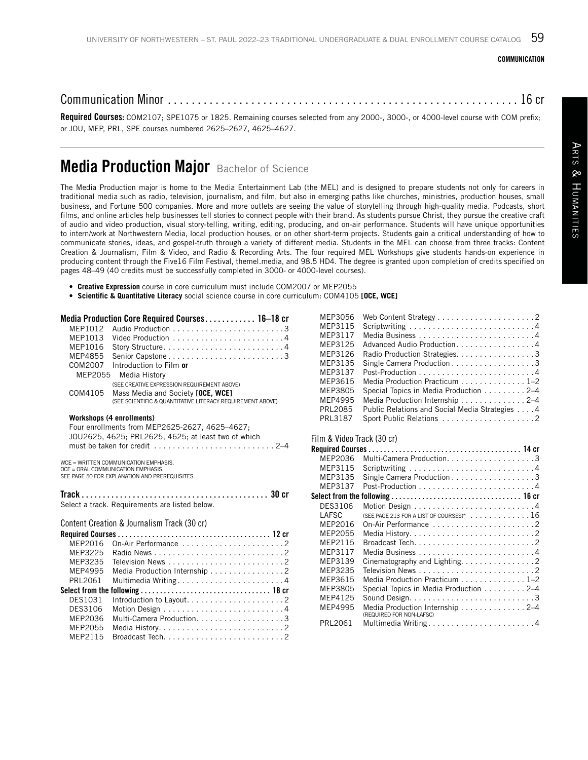#### COMMUNICATION

# Communication Minor . . . . . . . . . . . . . . . . . . . . . . . . . . . . . . . . . . . . . . . . . . . . . . . . . . . . . . . . . . . 16 cr

Required Courses: COM2107; SPE1075 or 1825. Remaining courses selected from any 2000-, 3000-, or 4000-level course with COM prefix; or JOU, MEP, PRL, SPE courses numbered 2625–2627, 4625–4627.

# Media Production Major Bachelor of Science

The Media Production major is home to the Media Entertainment Lab (the MEL) and is designed to prepare students not only for careers in traditional media such as radio, television, journalism, and film, but also in emerging paths like churches, ministries, production houses, small business, and Fortune 500 companies. More and more outlets are seeing the value of storytelling through high-quality media. Podcasts, short films, and online articles help businesses tell stories to connect people with their brand. As students pursue Christ, they pursue the creative craft of audio and video production, visual story-telling, writing, editing, producing, and on-air performance. Students will have unique opportunities to intern/work at Northwestern Media, local production houses, or on other short-term projects. Students gain a critical understanding of how to communicate stories, ideas, and gospel-truth through a variety of different media. Students in the MEL can choose from three tracks: Content Creation & Journalism, Film & Video, and Radio & Recording Arts. The four required MEL Workshops give students hands-on experience in producing content through the Five16 Film Festival, themel.media, and 98.5 HD4. The degree is granted upon completion of credits specified on pages 48–49 (40 credits must be successfully completed in 3000- or 4000-level courses).

- **Creative Expression** course in core curriculum must include COM2007 or MEP2055
- **• Scientific & Quantitative Literacy** social science course in core curriculum: COM4105 **[OCE, WCE]**

|         | Media Production Core Required Courses 16–18 cr                                                     |  |
|---------|-----------------------------------------------------------------------------------------------------|--|
|         |                                                                                                     |  |
| MEP1013 |                                                                                                     |  |
| MEP1016 |                                                                                                     |  |
| MEP4855 | Senior Capstone3                                                                                    |  |
|         | COM2007 Introduction to Film or                                                                     |  |
| MEP2055 | Media History                                                                                       |  |
|         | (SEE CREATIVE EXPRESSION REQUIREMENT ABOVE)                                                         |  |
| COM4105 | Mass Media and Society [OCE, WCE]<br>(SEE SCIENTIFIC & QUANTITATIVE LITERACY REQUIREMENT ABOVE)     |  |
|         |                                                                                                     |  |
|         | Workshops (4 enrollments)                                                                           |  |
|         | Four enrollments from MEP2625-2627, 4625-4627;                                                      |  |
|         | JOU2625, 4625; PRL2625, 4625; at least two of which                                                 |  |
|         | must be taken for credit $\ldots$ , $\ldots$ , $\ldots$ , $\ldots$ , $\ldots$ , $\ldots$ , $\ldots$ |  |
|         | WCE = WRITTEN COMMUNICATION EMPHASIS.                                                               |  |
|         | OCE = ORAL COMMUNICATION EMPHASIS.                                                                  |  |
|         | SEE PAGE 50 FOR EXPLANATION AND PREREQUISITES.                                                      |  |
|         |                                                                                                     |  |
|         | Select a track. Requirements are listed below.                                                      |  |
|         |                                                                                                     |  |
|         | Content Creation & Journalism Track (30 cr)                                                         |  |
|         |                                                                                                     |  |

| MFP2016 | On-Air Performance 2                                                                       |
|---------|--------------------------------------------------------------------------------------------|
| MEP3225 |                                                                                            |
| MEP3235 |                                                                                            |
| MEP4995 | Media Production Internship 2                                                              |
| PRL2061 |                                                                                            |
|         |                                                                                            |
|         |                                                                                            |
| DES1031 |                                                                                            |
| DES3106 |                                                                                            |
| MEP2036 | Multi-Camera Production3                                                                   |
| MEP2055 |                                                                                            |
| MEP2115 | Broadcast Tech. $\ldots$ , $\ldots$ , $\ldots$ , $\ldots$ , $\ldots$ , $\ldots$ , $\ldots$ |

| MEP3056 |                                                              |
|---------|--------------------------------------------------------------|
| MEP3115 |                                                              |
| MEP3117 |                                                              |
| MEP3125 | Advanced Audio Production. 4                                 |
| MEP3126 | Radio Production Strategies. 3                               |
| MEP3135 | Single Camera Production 3                                   |
| MEP3137 |                                                              |
| MEP3615 | Media Production Practicum $\ldots \ldots \ldots \ldots 1-2$ |
| MEP3805 | Special Topics in Media Production 2–4                       |
| MEP4995 | Media Production Internship 2–4                              |
| PRL2085 | Public Relations and Social Media Strategies 4               |
| PRL3187 |                                                              |

#### Film & Video Track (30 cr)

| MEP2036 | Multi-Camera Production3                                            |  |
|---------|---------------------------------------------------------------------|--|
| MEP3115 |                                                                     |  |
| MEP3135 | Single Camera Production 3                                          |  |
| MEP3137 |                                                                     |  |
|         |                                                                     |  |
| DES3106 |                                                                     |  |
| LAFSC   | (SEE PAGE 213 FOR A LIST OF COURSES)* $\dots\dots\dots\dots\dots16$ |  |
| MFP2016 | On-Air Performance 2                                                |  |
| MFP2055 |                                                                     |  |
| MEP2115 |                                                                     |  |
| MEP3117 |                                                                     |  |
| MEP3139 | Cinematography and Lighting. 2                                      |  |
| MEP3235 |                                                                     |  |
| MFP3615 | Media Production Practicum $\ldots \ldots \ldots \ldots 1-2$        |  |
| MEP3805 | Special Topics in Media Production 2-4                              |  |
| MFP4125 |                                                                     |  |
| MFP4995 | Media Production Internship 2-4<br>(REQUIRED FOR NON-LAFSC)         |  |
| PRL2061 | Multimedia Writing4                                                 |  |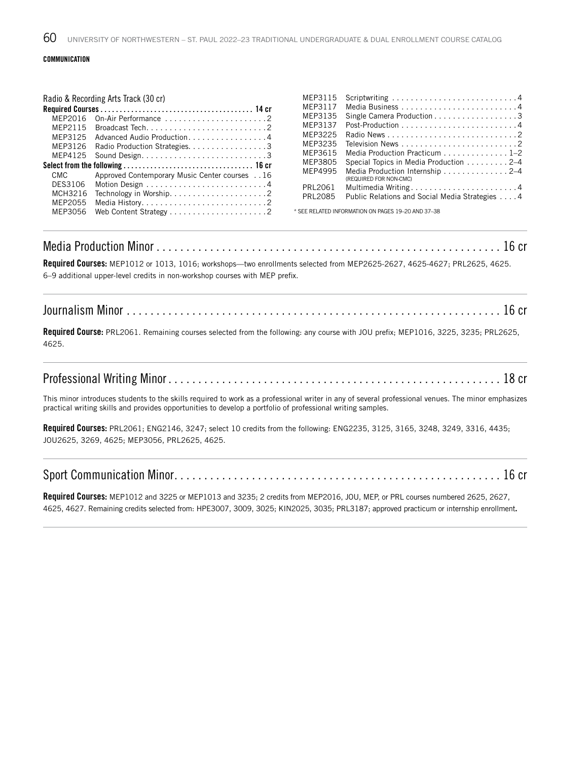#### COMMUNICATION

#### Radio & Recording Arts Track (30 cr)

|         |                                                                                            | MFP3117             |  |
|---------|--------------------------------------------------------------------------------------------|---------------------|--|
| MFP2016 |                                                                                            | MEP3135             |  |
| MFP2115 | Broadcast Tech. $\ldots$ , $\ldots$ , $\ldots$ , $\ldots$ , $\ldots$ , $\ldots$ , $\ldots$ | MEP3137             |  |
|         | MEP3125 Advanced Audio Production4                                                         | MEP3225             |  |
|         | MEP3126 Radio Production Strategies. 3                                                     | MEP3235             |  |
| MEP4125 |                                                                                            | MEP3615             |  |
|         |                                                                                            | MEP3805             |  |
| CMC CMC | Approved Contemporary Music Center courses 16                                              | MEP4995             |  |
| DES3106 |                                                                                            |                     |  |
|         |                                                                                            |                     |  |
|         |                                                                                            | PRL2061             |  |
| MEP2055 |                                                                                            | <b>PRL2085</b>      |  |
| MEP3056 |                                                                                            | * SEE RELATED INFOR |  |

| MEP3117        |                                                           |
|----------------|-----------------------------------------------------------|
| MEP3135        | Single Camera Production 3                                |
| MEP3137        |                                                           |
| MEP3225        |                                                           |
| MEP3235        |                                                           |
| MEP3615        | Media Production Practicum 1-2                            |
| MEP3805        | Special Topics in Media Production 2–4                    |
| MEP4995        | Media Production Internship 2–4<br>(REQUIRED FOR NON-CMC) |
| PRL2061        | Multimedia Writing4                                       |
| <b>PRL2085</b> | Public Relations and Social Media Strategies 4            |
|                |                                                           |

MEP3115 Scriptwriting. . 4

MATION ON PAGES 19–20 AND 37–38

## Media Production Minor . . . . . . . . . . . . . . . . . . . . . . . . . . . . . . . . . . . . . . . . . . . . . . . . . . . . . . . . . . 16 cr

Required Courses: MEP1012 or 1013, 1016; workshops—two enrollments selected from MEP2625-2627, 4625-4627; PRL2625, 4625. 6–9 additional upper-level credits in non-workshop courses with MEP prefix.

## Journalism Minor . . . . . . . . . . . . . . . . . . . . . . . . . . . . . . . . . . . . . . . . . . . . . . . . . . . . . . . . . . . . . . . 16 cr

Required Course: PRL2061. Remaining courses selected from the following: any course with JOU prefix; MEP1016, 3225, 3235; PRL2625, 4625.

## Professional Writing Minor . . . . . . . . . . . . . . . . . . . . . . . . . . . . . . . . . . . . . . . . . . . . . . . . . . . . . . . . 18 cr

This minor introduces students to the skills required to work as a professional writer in any of several professional venues. The minor emphasizes practical writing skills and provides opportunities to develop a portfolio of professional writing samples.

Required Courses: PRL2061; ENG2146, 3247; select 10 credits from the following: ENG2235, 3125, 3165, 3248, 3249, 3316, 4435; JOU2625, 3269, 4625; MEP3056, PRL2625, 4625.

## Sport Communication Minor . . . . . . . . . . . . . . . . . . . . . . . . . . . . . . . . . . . . . . . . . . . . . . . . . . . . . . . 16 cr

Required Courses: MEP1012 and 3225 or MEP1013 and 3235; 2 credits from MEP2016, JOU, MEP, or PRL courses numbered 2625, 2627, 4625, 4627. Remaining credits selected from: HPE3007, 3009, 3025; KIN2025, 3035; PRL3187; approved practicum or internship enrollment.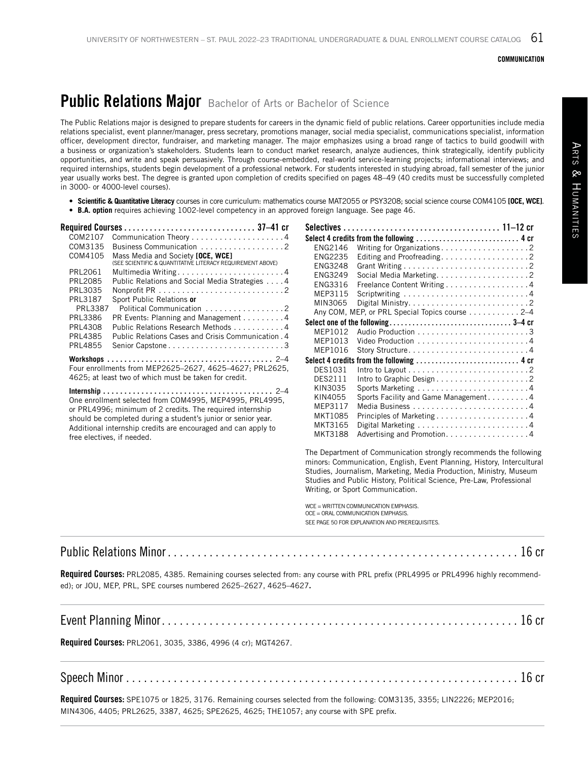#### COMMUNICATION

# **Public Relations Major** Bachelor of Arts or Bachelor of Science

The Public Relations major is designed to prepare students for careers in the dynamic field of public relations. Career opportunities include media relations specialist, event planner/manager, press secretary, promotions manager, social media specialist, communications specialist, information officer, development director, fundraiser, and marketing manager. The major emphasizes using a broad range of tactics to build goodwill with a business or organization's stakeholders. Students learn to conduct market research, analyze audiences, think strategically, identify publicity opportunities, and write and speak persuasively. Through course-embedded, real-world service-learning projects; informational interviews; and required internships, students begin development of a professional network. For students interested in studying abroad, fall semester of the junior year usually works best. The degree is granted upon completion of credits specified on pages 48–49 (40 credits must be successfully completed in 3000- or 4000-level courses).

- **• Scientific & Quantitative Literacy** courses in core curriculum: mathematics course MAT2055 or PSY3208; social science course COM4105 **[OCE, WCE]**.
- **B.A. option** requires achieving 1002-level competency in an approved foreign language. See page 46.

| COM2107        |                                                                                                 |
|----------------|-------------------------------------------------------------------------------------------------|
| COM3135        | Business Communication 2                                                                        |
| COM4105        | Mass Media and Society [OCE, WCE]<br>(SEE SCIENTIFIC & QUANTITATIVE LITERACY REQUIREMENT ABOVE) |
| PRL2061        | Multimedia Writing4                                                                             |
| <b>PRL2085</b> | Public Relations and Social Media Strategies 4                                                  |
| PRL3035        |                                                                                                 |
| <b>PRL3187</b> | Sport Public Relations or                                                                       |
| <b>PRL3387</b> | Political Communication 2                                                                       |
| PRL3386        | PR Events: Planning and Management 4                                                            |
| PRI 4308       | Public Relations Research Methods 4                                                             |
| <b>PRL4385</b> | Public Relations Cases and Crisis Communication, 4                                              |
| PRI 4855       |                                                                                                 |
|                | Four enrollments from MEP2625-2627, 4625-4627; PRL2625,                                         |

4625; at least two of which must be taken for credit.

**Internship.. . .** 2–4 One enrollment selected from COM4995, MEP4995, PRL4995, or PRL4996; minimum of 2 credits. The required internship should be completed during a student's junior or senior year. Additional internship credits are encouraged and can apply to free electives, if needed.

|                | Select 4 credits from the following  4 cr                                                     |  |
|----------------|-----------------------------------------------------------------------------------------------|--|
| ENG2146        | Writing for Organizations2                                                                    |  |
| <b>ENG2235</b> |                                                                                               |  |
| ENG3248        |                                                                                               |  |
| ENG3249        |                                                                                               |  |
| ENG3316        | Freelance Content Writing 4                                                                   |  |
| MEP3115        |                                                                                               |  |
| MIN3065        |                                                                                               |  |
|                | Any COM, MEP, or PRL Special Topics course 2–4                                                |  |
|                |                                                                                               |  |
| MFP1012        |                                                                                               |  |
| MFP1013        |                                                                                               |  |
| MFP1016        |                                                                                               |  |
|                | Select 4 credits from the following $\ldots \ldots \ldots \ldots \ldots \ldots \ldots \ldots$ |  |
| DES1031        |                                                                                               |  |
| DES2111        | Intro to Graphic Design2                                                                      |  |
| KIN3035        |                                                                                               |  |
| KIN4055        | Sports Facility and Game Management4                                                          |  |
| MEP3117        |                                                                                               |  |
| MKT1085        |                                                                                               |  |
| MKT3165        |                                                                                               |  |
| MKT3188        | Advertising and Promotion4                                                                    |  |

The Department of Communication strongly recommends the following minors: Communication, English, Event Planning, History, Intercultural Studies, Journalism, Marketing, Media Production, Ministry, Museum Studies and Public History, Political Science, Pre‐Law, Professional Writing, or Sport Communication.

WCE - WRITTEN COMMUNICATION EMPHASIS. OCE = ORAL COMMUNICATION EMPHASIS. SEE PAGE 50 FOR EXPLANATION AND PREREQUISITES.

# Public Relations Minor . . . . . . . . . . . . . . . . . . . . . . . . . . . . . . . . . . . . . . . . . . . . . . . . . . . . . . . . . . . 16 cr

Required Courses: PRL2085, 4385. Remaining courses selected from: any course with PRL prefix (PRL4995 or PRL4996 highly recommended); or JOU, MEP, PRL, SPE courses numbered 2625–2627, 4625–4627.

|--|--|

Required Courses: PRL2061, 3035, 3386, 4996 (4 cr); MGT4267.

## Speech Minor . . . . . . . . . . . . . . . . . . . . . . . . . . . . . . . . . . . . . . . . . . . . . . . . . . . . . . . . . . . . . . . . . . 16 cr

Required Courses: SPE1075 or 1825, 3176. Remaining courses selected from the following: COM3135, 3355; LIN2226; MEP2016; MIN4306, 4405; PRL2625, 3387, 4625; SPE2625, 4625; THE1057; any course with SPE prefix.